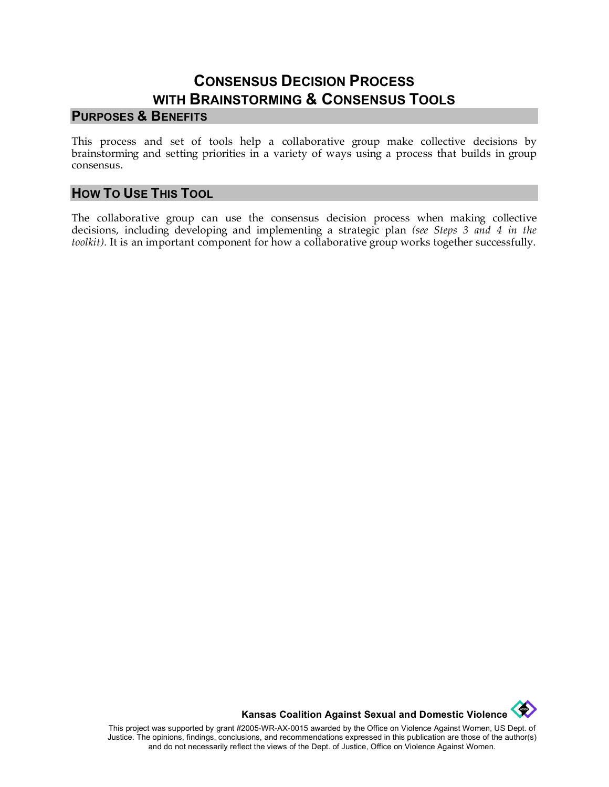# **CONSENSUS DECISION PROCESS WITH BRAINSTORMING & CONSENSUS TOOLS**

#### **PURPOSES & BENEFITS**

This process and set of tools help a collaborative group make collective decisions by brainstorming and setting priorities in a variety of ways using a process that builds in group consensus.

#### **HOW TO USE THIS TOOL**

The collaborative group can use the consensus decision process when making collective decisions, including developing and implementing a strategic plan *(see Steps 3 and 4 in the toolkit).* It is an important component for how a collaborative group works together successfully.



This project was supported by grant #2005-WR-AX-0015 awarded by the Office on Violence Against Women, US Dept. of Justice. The opinions, findings, conclusions, and recommendations expressed in this publication are those of the author(s) and do not necessarily reflect the views of the Dept. of Justice, Office on Violence Against Women.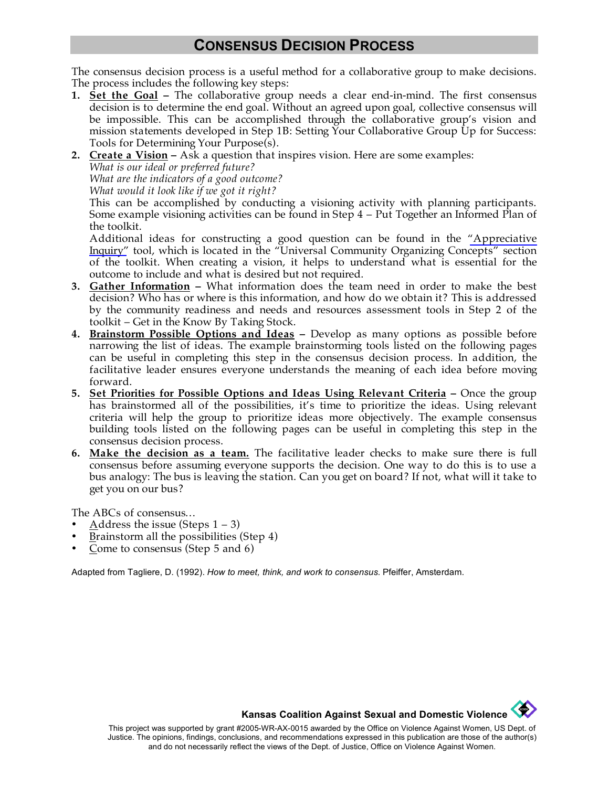# **CONSENSUS DECISION PROCESS**

The consensus decision process is a useful method for a collaborative group to make decisions. The process includes the following key steps:

- **1. Set the Goal –** The collaborative group needs a clear end-in-mind. The first consensus decision is to determine the end goal. Without an agreed upon goal, collective consensus will be impossible. This can be accomplished through the collaborative group's vision and mission statements developed in Step 1B: Setting Your Collaborative Group Up for Success: Tools for Determining Your Purpose(s).
- **2. Create a Vision –** Ask a question that inspires vision. Here are some examples:

*What is our ideal or preferred future?* 

*What are the indicators of a good outcome?* 

*What would it look like if we got it right?* 

This can be accomplished by conducting a visioning activity with planning participants. Some example visioning activities can be found in Step 4 – Put Together an Informed Plan of the toolkit.

Additional ideas for constructing a good question can be found in the ["Appreciative](http://www.kcsdv.org/toolkit/commorgtoolkit.html#AppreciativeInquiry) [Inquiry"](http://www.kcsdv.org/toolkit/commorgtoolkit.html#AppreciativeInquiry) tool, which is located in the "Universal Community Organizing Concepts" section of the toolkit. When creating a vision, it helps to understand what is essential for the outcome to include and what is desired but not required.

- **3. Gather Information –** What information does the team need in order to make the best decision? Who has or where is this information, and how do we obtain it? This is addressed by the community readiness and needs and resources assessment tools in Step 2 of the toolkit – Get in the Know By Taking Stock.
- **4. Brainstorm Possible Options and Ideas –** Develop as many options as possible before narrowing the list of ideas. The example brainstorming tools listed on the following pages can be useful in completing this step in the consensus decision process. In addition, the facilitative leader ensures everyone understands the meaning of each idea before moving forward.
- **5. Set Priorities for Possible Options and Ideas Using Relevant Criteria –** Once the group has brainstormed all of the possibilities, it's time to prioritize the ideas. Using relevant criteria will help the group to prioritize ideas more objectively. The example consensus building tools listed on the following pages can be useful in completing this step in the consensus decision process.
- **6. Make the decision as a team.** The facilitative leader checks to make sure there is full consensus before assuming everyone supports the decision. One way to do this is to use a bus analogy: The bus is leaving the station. Can you get on board? If not, what will it take to get you on our bus?

The ABCs of consensus…

- Address the issue (Steps  $1 3$ )
- Brainstorm all the possibilities (Step 4)
- Come to consensus (Step  $5$  and  $6$ )

Adapted from Tagliere, D. (1992). *How to meet, think, and work to consensus.* Pfeiffer, Amsterdam.

**Kansas Coalition Against Sexual and Domestic Violence** 

**CONTROL**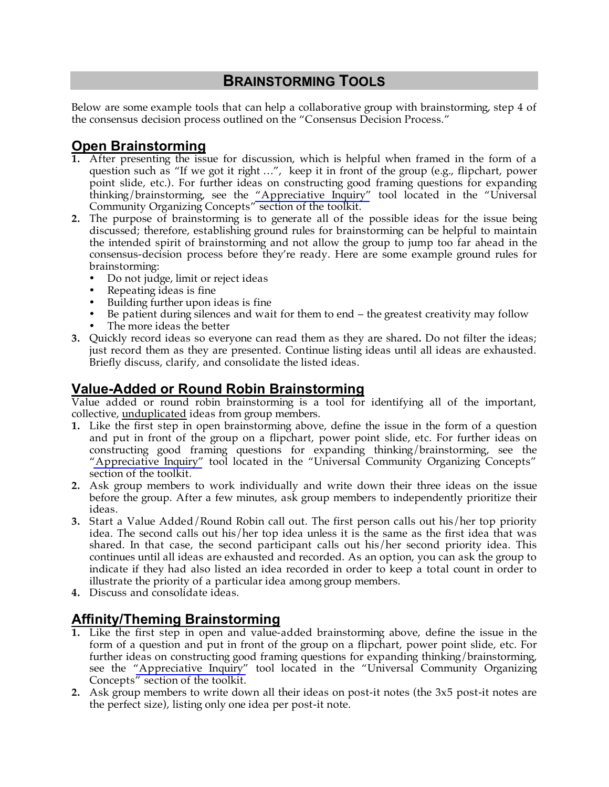# **BRAINSTORMING TOOLS**

Below are some example tools that can help a collaborative group with brainstorming, step 4 of the consensus decision process outlined on the "Consensus Decision Process."

### **Open Brainstorming**

- **1.** After presenting the issue for discussion, which is helpful when framed in the form of a question such as "If we got it right …", keep it in front of the group (e.g., flipchart, power point slide, etc.). For further ideas on constructing good framing questions for expanding thinking/brainstorming, see the ["Appreciative Inquiry"](http://www.kcsdv.org/toolkit/commorgtoolkit.html#AppreciativeInquiry) tool located in the "Universal Community Organizing Concepts" section of the toolkit.
- **2.** The purpose of brainstorming is to generate all of the possible ideas for the issue being discussed; therefore, establishing ground rules for brainstorming can be helpful to maintain the intended spirit of brainstorming and not allow the group to jump too far ahead in the consensus-decision process before they're ready. Here are some example ground rules for brainstorming:
	- Do not judge, limit or reject ideas
	- Repeating ideas is fine
	- Building further upon ideas is fine
	- Be patient during silences and wait for them to end the greatest creativity may follow The more ideas the better
- **3.** Quickly record ideas so everyone can read them as they are shared**.** Do not filter the ideas; just record them as they are presented. Continue listing ideas until all ideas are exhausted. Briefly discuss, clarify, and consolidate the listed ideas.

# **Value-Added or Round Robin Brainstorming**

Value added or round robin brainstorming is a tool for identifying all of the important, collective, unduplicated ideas from group members.

- **1.** Like the first step in open brainstorming above, define the issue in the form of a question and put in front of the group on a flipchart, power point slide, etc. For further ideas on constructing good framing questions for expanding thinking/brainstorming, see the ["Appreciative Inquiry"](http://www.kcsdv.org/toolkit/commorgtoolkit.html#AppreciativeInquiry) tool located in the "Universal Community Organizing Concepts" section of the toolkit.
- **2.** Ask group members to work individually and write down their three ideas on the issue before the group. After a few minutes, ask group members to independently prioritize their ideas.
- **3.** Start a Value Added/Round Robin call out. The first person calls out his/her top priority idea. The second calls out his/her top idea unless it is the same as the first idea that was shared. In that case, the second participant calls out his/her second priority idea. This continues until all ideas are exhausted and recorded. As an option, you can ask the group to indicate if they had also listed an idea recorded in order to keep a total count in order to illustrate the priority of a particular idea among group members.
- **4.** Discuss and consolidate ideas.

### **Affinity/Theming Brainstorming**

- **1.** Like the first step in open and value-added brainstorming above, define the issue in the form of a question and put in front of the group on a flipchart, power point slide, etc. For further ideas on constructing good framing questions for expanding thinking/brainstorming, see the ["Appreciative Inquiry"](http://www.kcsdv.org/toolkit/commorgtoolkit.html#AppreciativeInquiry) tool located in the "Universal Community Organizing Concepts" section of the toolkit.
- **2.** Ask group members to write down all their ideas on post-it notes (the 3x5 post-it notes are the perfect size), listing only one idea per post-it note.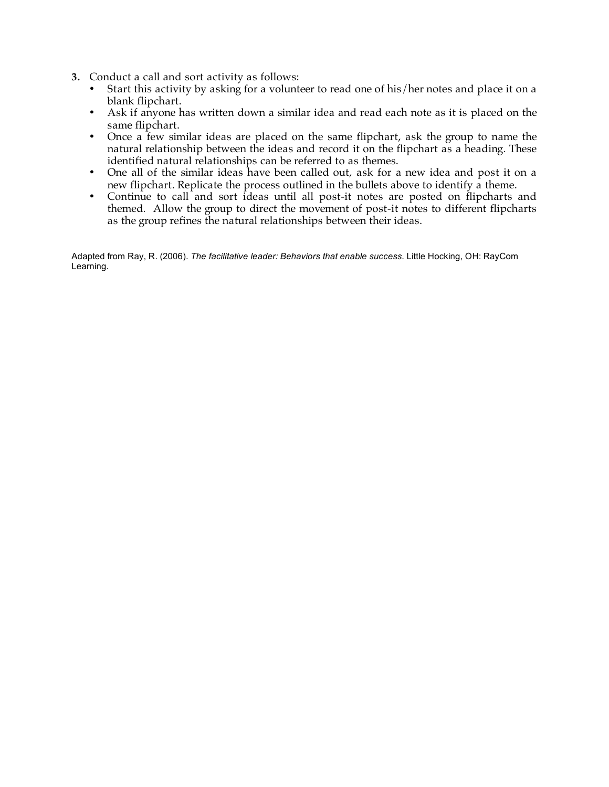- **3.** Conduct a call and sort activity as follows:
	- Start this activity by asking for a volunteer to read one of his/her notes and place it on a blank flipchart.
	- Ask if anyone has written down a similar idea and read each note as it is placed on the same flipchart.
	- Once a few similar ideas are placed on the same flipchart, ask the group to name the natural relationship between the ideas and record it on the flipchart as a heading. These identified natural relationships can be referred to as themes.
	- One all of the similar ideas have been called out, ask for a new idea and post it on a new flipchart. Replicate the process outlined in the bullets above to identify a theme.
	- Continue to call and sort ideas until all post-it notes are posted on flipcharts and themed. Allow the group to direct the movement of post-it notes to different flipcharts as the group refines the natural relationships between their ideas.

Adapted from Ray, R. (2006). *The facilitative leader: Behaviors that enable success.* Little Hocking, OH: RayCom Learning.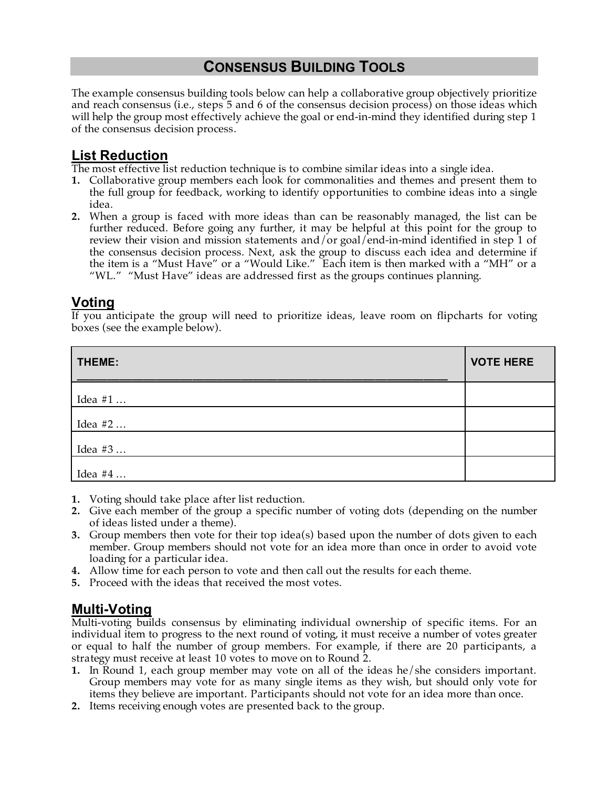# **CONSENSUS BUILDING TOOLS**

The example consensus building tools below can help a collaborative group objectively prioritize and reach consensus (i.e., steps 5 and 6 of the consensus decision process) on those ideas which will help the group most effectively achieve the goal or end-in-mind they identified during step 1 of the consensus decision process.

#### **List Reduction**

The most effective list reduction technique is to combine similar ideas into a single idea.

- **1.** Collaborative group members each look for commonalities and themes and present them to the full group for feedback, working to identify opportunities to combine ideas into a single idea.
- **2.** When a group is faced with more ideas than can be reasonably managed, the list can be further reduced. Before going any further, it may be helpful at this point for the group to review their vision and mission statements and/or goal/end-in-mind identified in step 1 of the consensus decision process. Next, ask the group to discuss each idea and determine if the item is a "Must Have" or a "Would Like." Each item is then marked with a "MH" or a "WL." "Must Have" ideas are addressed first as the groups continues planning.

## **Voting**

If you anticipate the group will need to prioritize ideas, leave room on flipcharts for voting boxes (see the example below).

| THEME:  | <b>VOTE HERE</b> |
|---------|------------------|
| Idea #1 |                  |
| Idea #2 |                  |
| Idea #3 |                  |
| Idea #4 |                  |

- **1.** Voting should take place after list reduction.
- **2.** Give each member of the group a specific number of voting dots (depending on the number of ideas listed under a theme).
- **3.** Group members then vote for their top idea(s) based upon the number of dots given to each member. Group members should not vote for an idea more than once in order to avoid vote loading for a particular idea.
- **4.** Allow time for each person to vote and then call out the results for each theme.
- **5.** Proceed with the ideas that received the most votes.

### **Multi-Voting**

Multi-voting builds consensus by eliminating individual ownership of specific items. For an individual item to progress to the next round of voting, it must receive a number of votes greater or equal to half the number of group members. For example, if there are 20 participants, a strategy must receive at least 10 votes to move on to Round 2.

- **1.** In Round 1, each group member may vote on all of the ideas he/she considers important. Group members may vote for as many single items as they wish, but should only vote for items they believe are important. Participants should not vote for an idea more than once.
- **2.** Items receiving enough votes are presented back to the group.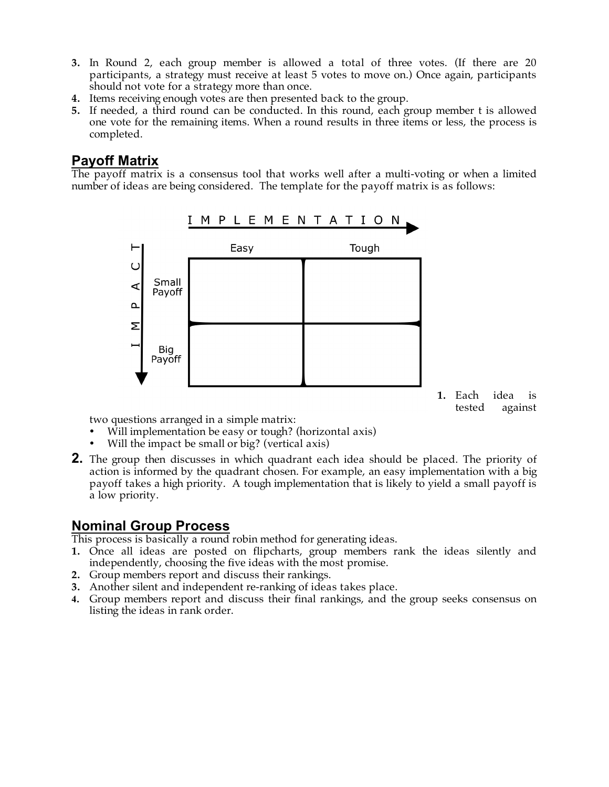- **3.** In Round 2, each group member is allowed a total of three votes. (If there are 20 participants, a strategy must receive at least 5 votes to move on.) Once again, participants should not vote for a strategy more than once.
- **4.** Items receiving enough votes are then presented back to the group.
- **5.** If needed, a third round can be conducted. In this round, each group member t is allowed one vote for the remaining items. When a round results in three items or less, the process is completed.

## **Payoff Matrix**

The payoff matrix is a consensus tool that works well after a multi-voting or when a limited number of ideas are being considered. The template for the payoff matrix is as follows:



**1.** Each idea is tested against

two questions arranged in a simple matrix:

- Will implementation be easy or tough? (horizontal axis)
- Will the impact be small or big? (vertical axis)
- **2.** The group then discusses in which quadrant each idea should be placed. The priority of action is informed by the quadrant chosen. For example, an easy implementation with a big payoff takes a high priority. A tough implementation that is likely to yield a small payoff is a low priority.

### **Nominal Group Process**

This process is basically a round robin method for generating ideas.

- **1.** Once all ideas are posted on flipcharts, group members rank the ideas silently and independently, choosing the five ideas with the most promise.
- **2.** Group members report and discuss their rankings.
- **3.** Another silent and independent re-ranking of ideas takes place.
- **4.** Group members report and discuss their final rankings, and the group seeks consensus on listing the ideas in rank order.